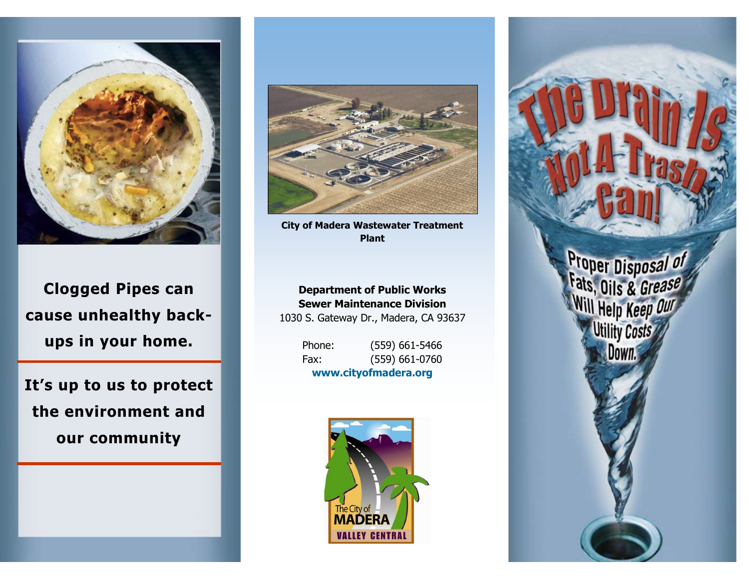

**Clogged Pipes can cause unhealthy backups in your home.**

**It's up to us to protect the environment and our community**



**City of Madera Wastewater Treatment Plant**

#### **Department of Public Works Sewer Maintenance Division**

1030 S. Gateway Dr., Madera, CA 93637

Phone: (559) 661-5466 Fax: (559) 661-0760 **www.cityofmadera.org**